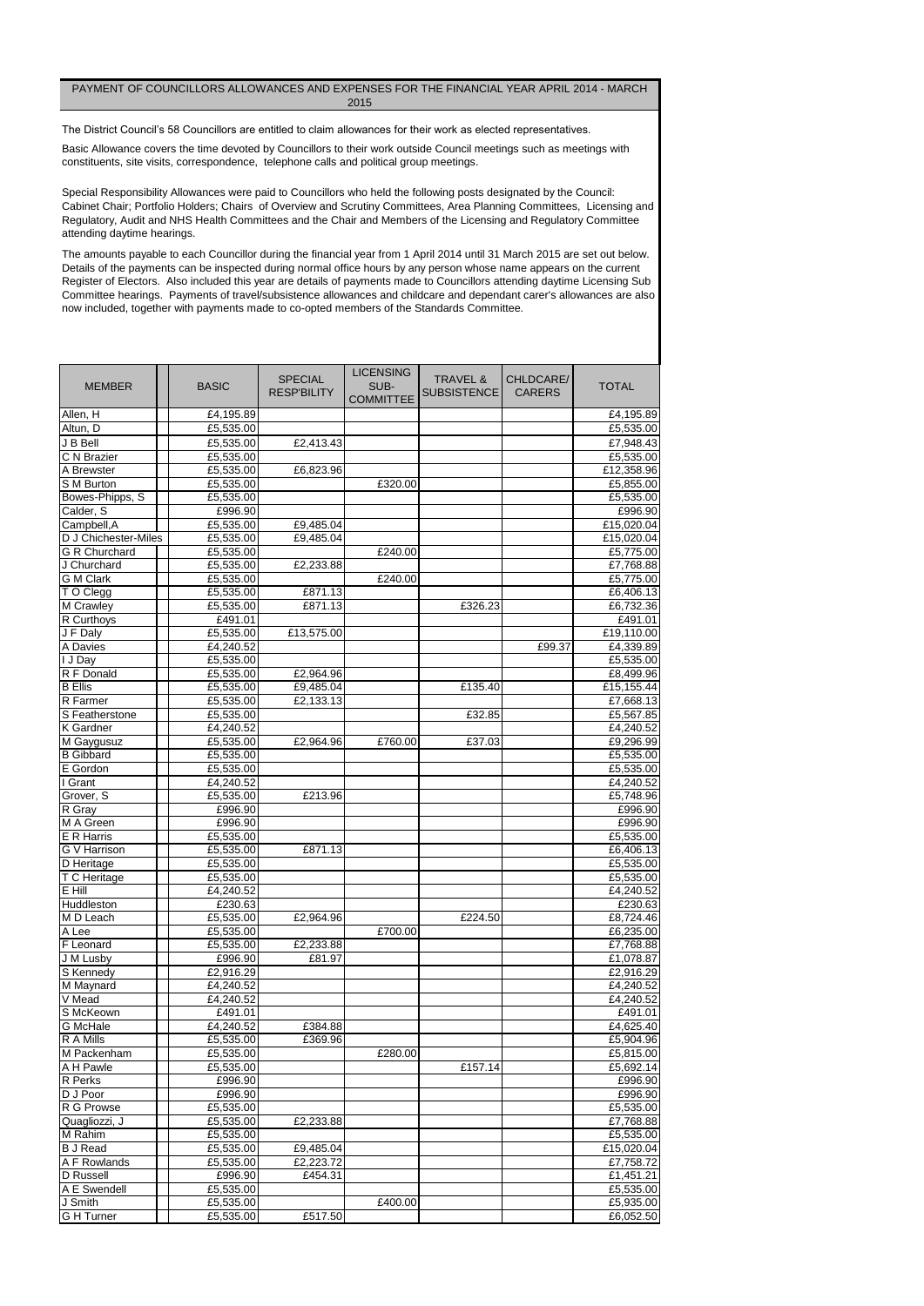| <b>MEMBER</b>                           | <b>BASIC</b> | <b>SPECIAL</b><br><b>RESP'BILITY</b> | <b>LICENSING</b><br>SUB-<br><b>COMMITTEE</b> | <b>TRAVEL &amp;</b><br>SUBSISTENCE | CHLDCARE/<br><b>CARERS</b> | <b>TOTAL</b> |
|-----------------------------------------|--------------|--------------------------------------|----------------------------------------------|------------------------------------|----------------------------|--------------|
| Allen, H                                | £4,195.89    |                                      |                                              |                                    |                            | £4,195.89    |
| Altun, D                                | £5,535.00    |                                      |                                              |                                    |                            | £5,535.00    |
| J B Bell                                | £5,535.00    | £2,413.43                            |                                              |                                    |                            | £7,948.43    |
| C N Brazier                             | £5,535.00    |                                      |                                              |                                    |                            | £5,535.00    |
| A Brewster                              | £5,535.00    | £6,823.96                            |                                              |                                    |                            | £12,358.96   |
| S M Burton                              | £5,535.00    |                                      | £320.00                                      |                                    |                            | £5,855.00    |
| Bowes-Phipps, S                         | £5,535.00    |                                      |                                              |                                    |                            | £5,535.00    |
| Calder, S                               | £996.90      |                                      |                                              |                                    |                            | £996.90      |
| Campbell, A                             | £5,535.00    | £9,485.04                            |                                              |                                    |                            | £15,020.04   |
| D J Chichester-Miles                    | £5,535.00    | £9,485.04                            |                                              |                                    |                            | £15,020.04   |
| <b>G R Churchard</b>                    | £5,535.00    |                                      | £240.00                                      |                                    |                            | £5,775.00    |
| J Churchard                             | £5,535.00    | £2,233.88                            |                                              |                                    |                            | £7,768.88    |
| <b>G</b> M Clark                        | £5,535.00    |                                      | £240.00                                      |                                    |                            | £5,775.00    |
| T O Clegg                               | £5,535.00    | £871.13                              |                                              |                                    |                            | £6,406.13    |
| M Crawley                               | £5,535.00    | £871.13                              |                                              | £326.23                            |                            | £6,732.36    |
| R Curthoys                              | £491.01      |                                      |                                              |                                    |                            | £491.01      |
| $\overline{\mathsf{J} \mathsf{F}}$ Daly | £5,535.00    | £13,575.00                           |                                              |                                    |                            | £19,110.00   |
| A Davies                                | £4,240.52    |                                      |                                              |                                    | £99.37                     | £4,339.89    |
| I J Day                                 | £5,535.00    |                                      |                                              |                                    |                            | £5,535.00    |
| R F Donald                              | £5,535.00    | £2,964.96                            |                                              |                                    |                            | £8,499.96    |
| <b>B</b> Ellis                          | £5,535.00    | £9,485.04                            |                                              | £135.40                            |                            | £15,155.44   |
| R Farmer                                | £5,535.00    | £2,133.13                            |                                              |                                    |                            | £7,668.13    |
| S Featherstone                          | £5,535.00    |                                      |                                              | £32.85                             |                            | £5,567.85    |
| <b>K</b> Gardner                        | £4,240.52    |                                      |                                              |                                    |                            | £4,240.52    |
| M Gaygusuz                              | £5,535.00    | E2,964.96                            | E760.00                                      | £37.03                             |                            | £9,296.99    |
| <b>B</b> Gibbard                        | £5,535.00    |                                      |                                              |                                    |                            | £5,535.00    |
| E Gordon                                | £5,535.00    |                                      |                                              |                                    |                            | £5,535.00    |
| I Grant                                 | £4,240.52    |                                      |                                              |                                    |                            | £4,240.52    |
| Grover, S                               | £5,535.00    | £213.96                              |                                              |                                    |                            | £5,748.96    |
| R Gray                                  | £996.90      |                                      |                                              |                                    |                            | £996.90      |
| M A Green                               | £996.90      |                                      |                                              |                                    |                            | £996.90      |
| E R Harris                              | £5,535.00    |                                      |                                              |                                    |                            | £5,535.00    |
| G V Harrison                            | £5,535.00    | £871.13                              |                                              |                                    |                            | £6,406.13    |
| D Heritage                              | £5,535.00    |                                      |                                              |                                    |                            | £5,535.00    |
| T C Heritage                            | £5,535.00    |                                      |                                              |                                    |                            | £5,535.00    |
| E Hill                                  | £4,240.52    |                                      |                                              |                                    |                            | £4,240.52    |
| Huddleston                              | £230.63      |                                      |                                              |                                    |                            | £230.63      |
| M D Leach                               | £5,535.00    | £2,964.96                            |                                              | $\overline{\text{£}224.50}$        |                            | £8,724.46    |
| A Lee                                   | £5,535.00    |                                      | £700.00                                      |                                    |                            | £6,235.00    |
| F Leonard                               | £5,535.00    | £2,233.88                            |                                              |                                    |                            | £7,768.88    |
| J M Lusby                               | £996.90      | £81.97                               |                                              |                                    |                            | £1,078.87    |
| S Kennedy                               | £2,916.29    |                                      |                                              |                                    |                            | £2,916.29    |
| M Maynard                               | £4,240.52    |                                      |                                              |                                    |                            | £4,240.52    |
| V Mead                                  | £4,240.52    |                                      |                                              |                                    |                            | £4,240.52    |
| S McKeown                               | £491.01      |                                      |                                              |                                    |                            | £491.01      |
| G McHale                                | £4,240.52    | £384.88                              |                                              |                                    |                            | £4,625.40    |
| R A Mills                               | £5,535.00    | £369.96                              |                                              |                                    |                            | £5,904.96    |
| M Packenham                             | £5,535.00    |                                      | £280.00                                      |                                    |                            | £5,815.00    |
| A H Pawle                               | £5,535.00    |                                      |                                              | £157.14                            |                            | £5,692.14    |
| R Perks                                 | £996.90      |                                      |                                              |                                    |                            | £996.90      |
| D J Poor                                | £996.90      |                                      |                                              |                                    |                            | £996.90      |
| R G Prowse                              | £5,535.00    |                                      |                                              |                                    |                            | £5,535.00    |
| Quagliozzi, J                           | £5,535.00    | £2,233.88                            |                                              |                                    |                            | £7,768.88    |
| M Rahim                                 | £5,535.00    |                                      |                                              |                                    |                            | £5,535.00    |
| <b>B J Read</b>                         | £5,535.00    | £9,485.04                            |                                              |                                    |                            | £15,020.04   |
| A F Rowlands                            | £5,535.00    | £2,223.72                            |                                              |                                    |                            | £7,758.72    |
| D Russell                               | £996.90      | £454.31                              |                                              |                                    |                            | £1,451.21    |
| A E Swendell                            | £5,535.00    |                                      |                                              |                                    |                            | £5,535.00    |
| J Smith                                 | £5,535.00    |                                      | £400.00                                      |                                    |                            | £5,935.00    |
| G H Turner                              | £5,535.00    | £517.50                              |                                              |                                    |                            | £6,052.50    |

The amounts payable to each Councillor during the financial year from 1 April 2014 until 31 March 2015 are set out below. Details of the payments can be inspected during normal office hours by any person whose name appears on the current Register of Electors. Also included this year are details of payments made to Councillors attending daytime Licensing Sub Committee hearings. Payments of travel/subsistence allowances and childcare and dependant carer's allowances are also now included, together with payments made to co-opted members of the Standards Committee.

Cabinet Chair; Portfolio Holders; Chairs of Overview and Scrutiny Committees, Area Planning Committees, Licensing and Regulatory, Audit and NHS Health Committees and the Chair and Members of the Licensing and Regulatory Committee attending daytime hearings. Special Responsibility Allowances were paid to Councillors who held the following posts designated by the Council:

## PAYMENT OF COUNCILLORS ALLOWANCES AND EXPENSES FOR THE FINANCIAL YEAR APRIL 2014 - MARCH 2015

The District Council's 58 Councillors are entitled to claim allowances for their work as elected representatives.

Basic Allowance covers the time devoted by Councillors to their work outside Council meetings such as meetings with constituents, site visits, correspondence, telephone calls and political group meetings.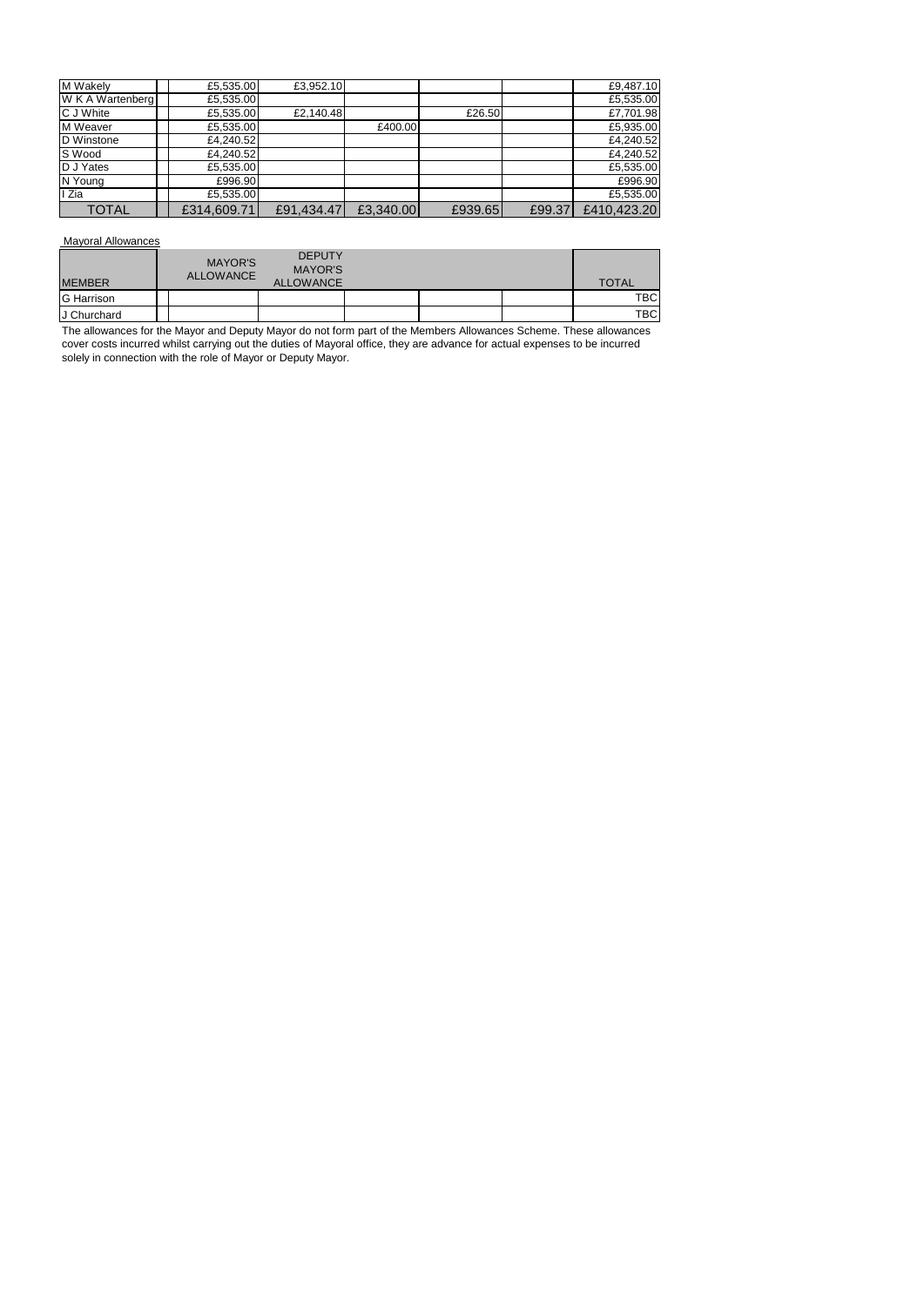| M Wakely         | £5,535.00   | £3,952.10  |           |         |        | £9,487.10   |
|------------------|-------------|------------|-----------|---------|--------|-------------|
| W K A Wartenberg | £5,535.00   |            |           |         |        | £5,535.00   |
| C J White        | £5,535.00   | £2,140.48  |           | £26.50  |        | £7,701.98   |
| M Weaver         | £5,535.00   |            | £400.00   |         |        | £5,935.00   |
| D Winstone       | £4,240.52   |            |           |         |        | £4,240.52   |
| S Wood           | £4,240.52   |            |           |         |        | £4,240.52   |
| D J Yates        | £5,535.00   |            |           |         |        | £5,535.00   |
| N Young          | £996.90     |            |           |         |        | £996.90     |
| I Zia            | £5,535.00   |            |           |         |        | £5,535.00   |
| <b>TOTAL</b>     | £314,609.71 | £91,434.47 | £3,340.00 | £939.65 | £99.37 | £410,423.20 |

Mayoral Allowances

| <b>MEMBER</b> | <b>MAYOR'S</b><br><b>ALLOWANCE</b> | <b>DEPUTY</b><br><b>MAYOR'S</b><br><b>ALLOWANCE</b> |  | <b>TOTAL</b> |
|---------------|------------------------------------|-----------------------------------------------------|--|--------------|
| G Harrison    |                                    |                                                     |  | TBC          |
| J Churchard   |                                    |                                                     |  | <b>TBC</b>   |

The allowances for the Mayor and Deputy Mayor do not form part of the Members Allowances Scheme. These allowances cover costs incurred whilst carrying out the duties of Mayoral office, they are advance for actual expenses to be incurred solely in connection with the role of Mayor or Deputy Mayor.